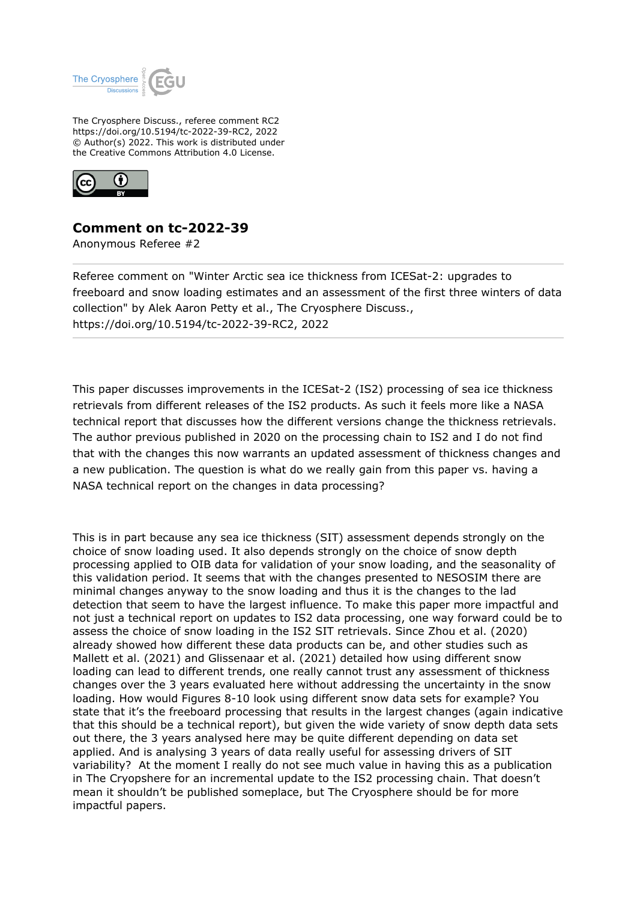

The Cryosphere Discuss., referee comment RC2 https://doi.org/10.5194/tc-2022-39-RC2, 2022 © Author(s) 2022. This work is distributed under the Creative Commons Attribution 4.0 License.



## **Comment on tc-2022-39**

Anonymous Referee #2

Referee comment on "Winter Arctic sea ice thickness from ICESat-2: upgrades to freeboard and snow loading estimates and an assessment of the first three winters of data collection" by Alek Aaron Petty et al., The Cryosphere Discuss., https://doi.org/10.5194/tc-2022-39-RC2, 2022

This paper discusses improvements in the ICESat-2 (IS2) processing of sea ice thickness retrievals from different releases of the IS2 products. As such it feels more like a NASA technical report that discusses how the different versions change the thickness retrievals. The author previous published in 2020 on the processing chain to IS2 and I do not find that with the changes this now warrants an updated assessment of thickness changes and a new publication. The question is what do we really gain from this paper vs. having a NASA technical report on the changes in data processing?

This is in part because any sea ice thickness (SIT) assessment depends strongly on the choice of snow loading used. It also depends strongly on the choice of snow depth processing applied to OIB data for validation of your snow loading, and the seasonality of this validation period. It seems that with the changes presented to NESOSIM there are minimal changes anyway to the snow loading and thus it is the changes to the lad detection that seem to have the largest influence. To make this paper more impactful and not just a technical report on updates to IS2 data processing, one way forward could be to assess the choice of snow loading in the IS2 SIT retrievals. Since Zhou et al. (2020) already showed how different these data products can be, and other studies such as Mallett et al. (2021) and Glissenaar et al. (2021) detailed how using different snow loading can lead to different trends, one really cannot trust any assessment of thickness changes over the 3 years evaluated here without addressing the uncertainty in the snow loading. How would Figures 8-10 look using different snow data sets for example? You state that it's the freeboard processing that results in the largest changes (again indicative that this should be a technical report), but given the wide variety of snow depth data sets out there, the 3 years analysed here may be quite different depending on data set applied. And is analysing 3 years of data really useful for assessing drivers of SIT variability? At the moment I really do not see much value in having this as a publication in The Cryopshere for an incremental update to the IS2 processing chain. That doesn't mean it shouldn't be published someplace, but The Cryosphere should be for more impactful papers.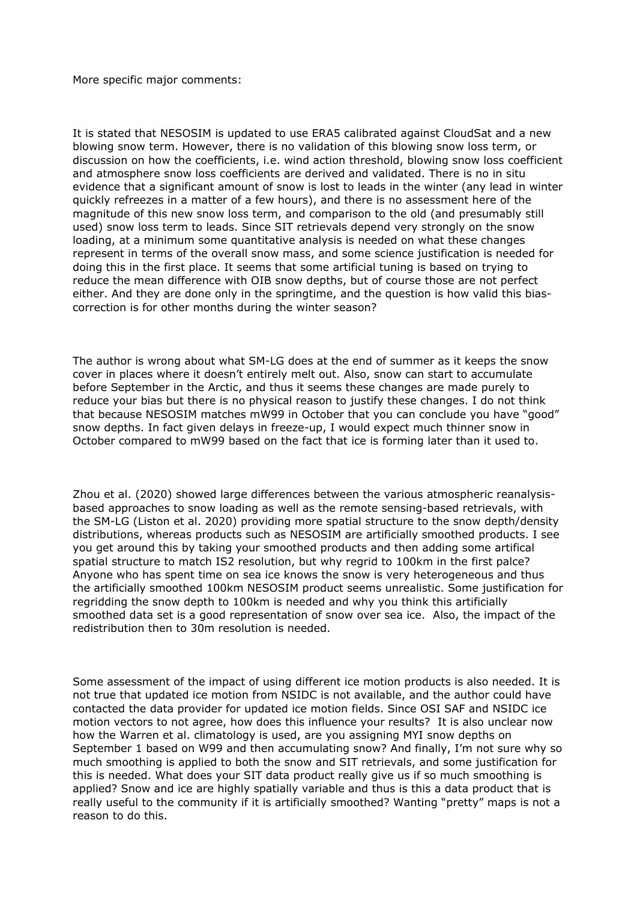More specific major comments:

It is stated that NESOSIM is updated to use ERA5 calibrated against CloudSat and a new blowing snow term. However, there is no validation of this blowing snow loss term, or discussion on how the coefficients, i.e. wind action threshold, blowing snow loss coefficient and atmosphere snow loss coefficients are derived and validated. There is no in situ evidence that a significant amount of snow is lost to leads in the winter (any lead in winter quickly refreezes in a matter of a few hours), and there is no assessment here of the magnitude of this new snow loss term, and comparison to the old (and presumably still used) snow loss term to leads. Since SIT retrievals depend very strongly on the snow loading, at a minimum some quantitative analysis is needed on what these changes represent in terms of the overall snow mass, and some science justification is needed for doing this in the first place. It seems that some artificial tuning is based on trying to reduce the mean difference with OIB snow depths, but of course those are not perfect either. And they are done only in the springtime, and the question is how valid this biascorrection is for other months during the winter season?

The author is wrong about what SM-LG does at the end of summer as it keeps the snow cover in places where it doesn't entirely melt out. Also, snow can start to accumulate before September in the Arctic, and thus it seems these changes are made purely to reduce your bias but there is no physical reason to justify these changes. I do not think that because NESOSIM matches mW99 in October that you can conclude you have "good" snow depths. In fact given delays in freeze-up, I would expect much thinner snow in October compared to mW99 based on the fact that ice is forming later than it used to.

Zhou et al. (2020) showed large differences between the various atmospheric reanalysisbased approaches to snow loading as well as the remote sensing-based retrievals, with the SM-LG (Liston et al. 2020) providing more spatial structure to the snow depth/density distributions, whereas products such as NESOSIM are artificially smoothed products. I see you get around this by taking your smoothed products and then adding some artifical spatial structure to match IS2 resolution, but why regrid to 100km in the first palce? Anyone who has spent time on sea ice knows the snow is very heterogeneous and thus the artificially smoothed 100km NESOSIM product seems unrealistic. Some justification for regridding the snow depth to 100km is needed and why you think this artificially smoothed data set is a good representation of snow over sea ice. Also, the impact of the redistribution then to 30m resolution is needed.

Some assessment of the impact of using different ice motion products is also needed. It is not true that updated ice motion from NSIDC is not available, and the author could have contacted the data provider for updated ice motion fields. Since OSI SAF and NSIDC ice motion vectors to not agree, how does this influence your results? It is also unclear now how the Warren et al. climatology is used, are you assigning MYI snow depths on September 1 based on W99 and then accumulating snow? And finally, I'm not sure why so much smoothing is applied to both the snow and SIT retrievals, and some justification for this is needed. What does your SIT data product really give us if so much smoothing is applied? Snow and ice are highly spatially variable and thus is this a data product that is really useful to the community if it is artificially smoothed? Wanting "pretty" maps is not a reason to do this.